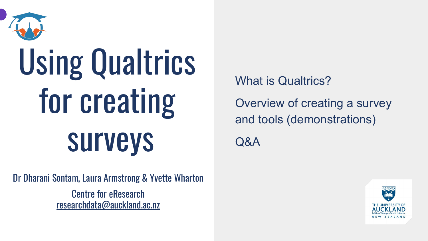

# Using Qualtrics for creating surveys

Dr Dharani Sontam, Laura Armstrong & Yvette Wharton Centre for eResearch [researchdata@auckland.ac.nz](mailto:researchdata@auckland.ac.nz)

What is Qualtrics? Overview of creating a survey and tools (demonstrations) Q&A

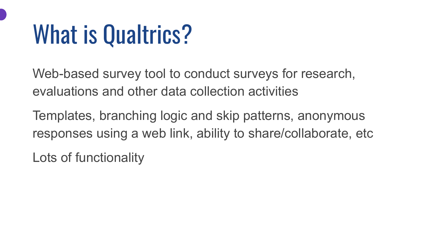#### What is Qualtrics?

Web-based survey tool to conduct surveys for research, evaluations and other data collection activities

Templates, branching logic and skip patterns, anonymous responses using a web link, ability to share/collaborate, etc

Lots of functionality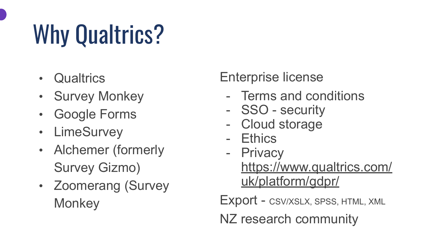## Why Qualtrics?

- Qualtrics
- Survey Monkey
- Google Forms
- LimeSurvey
- Alchemer (formerly Survey Gizmo)
- Zoomerang (Survey **Monkey**

#### Enterprise license

- Terms and conditions
- SSO security
- Cloud storage
- **Ethics**
- Privacy [https://www.qualtrics.com/](https://www.qualtrics.com/uk/platform/gdpr/) [uk/platform/gdpr/](https://www.qualtrics.com/uk/platform/gdpr/)

Export - CSV/XSLX, SPSS, HTML, XML

NZ research community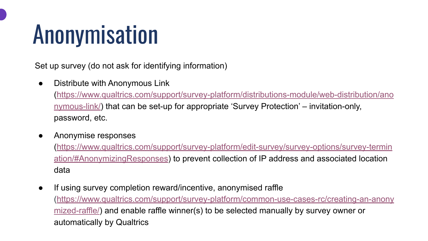## Anonymisation

Set up survey (do not ask for identifying information)

- Distribute with Anonymous Link [\(https://www.qualtrics.com/support/survey-platform/distributions-module/web-distribution/ano](https://www.qualtrics.com/support/survey-platform/distributions-module/web-distribution/anonymous-link/) [nymous-link/](https://www.qualtrics.com/support/survey-platform/distributions-module/web-distribution/anonymous-link/)) that can be set-up for appropriate 'Survey Protection' – invitation-only, password, etc.
- Anonymise responses

[\(https://www.qualtrics.com/support/survey-platform/edit-survey/survey-options/survey-termin](https://www.qualtrics.com/support/survey-platform/edit-survey/survey-options/survey-termination/#AnonymizingResponses) [ation/#AnonymizingResponses\)](https://www.qualtrics.com/support/survey-platform/edit-survey/survey-options/survey-termination/#AnonymizingResponses) to prevent collection of IP address and associated location data

● If using survey completion reward/incentive, anonymised raffle [\(https://www.qualtrics.com/support/survey-platform/common-use-cases-rc/creating-an-anony](https://www.qualtrics.com/support/survey-platform/common-use-cases-rc/creating-an-anonymized-raffle/) [mized-raffle/](https://www.qualtrics.com/support/survey-platform/common-use-cases-rc/creating-an-anonymized-raffle/)) and enable raffle winner(s) to be selected manually by survey owner or automatically by Qualtrics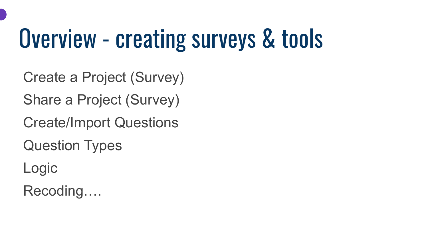#### Overview - creating surveys & tools

Create a Project (Survey)

Share a Project (Survey)

Create/Import Questions

Question Types

Logic

Recoding….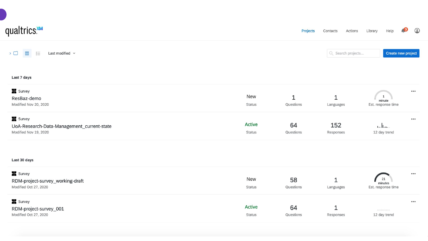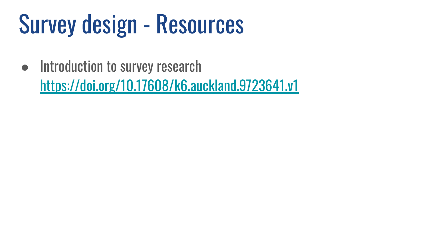## Survey design - Resources

● Introduction to survey research

<https://doi.org/10.17608/k6.auckland.9723641.v1>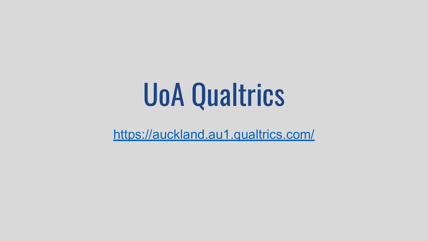## UoA Qualtrics

<https://auckland.au1.qualtrics.com/>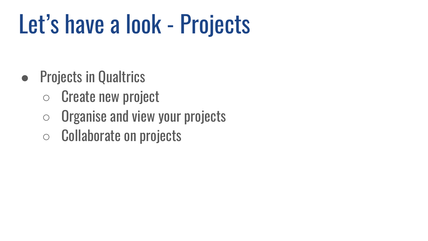## Let's have a look - Projects

- Projects in Qualtrics
	- Create new project
	- $\circ$  Organise and view your projects
	- Collaborate on projects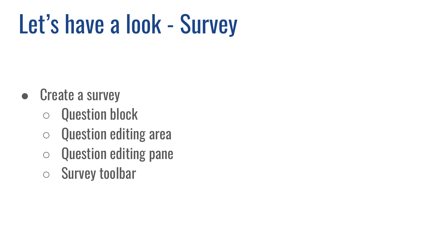## Let's have a look - Survey

- Create a survey
	- Question block
	- Question editing area
	- Question editing pane
	- Survey toolbar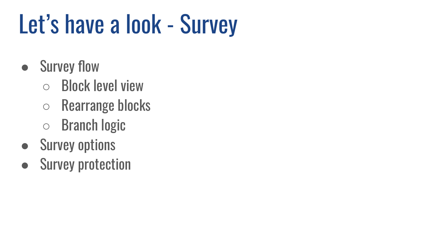## Let's have a look - Survey

- Survey flow
	- Block level view
	- Rearrange blocks
	- Branch logic
- Survey options
- Survey protection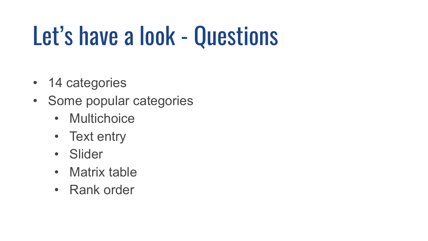#### Let's have a look - Questions

- 14 categories
- Some popular categories
	- Multichoice
	- Text entry
	- Slider
	- Matrix table
	- Rank order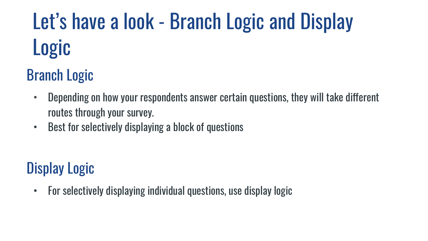#### Let's have a look - Branch Logic and Display Logic

#### Branch Logic

- Depending on how your respondents answer certain questions, they will take different routes through your survey.
- Best for selectively displaying a block of questions

#### Display Logic

• For selectively displaying individual questions, use display logic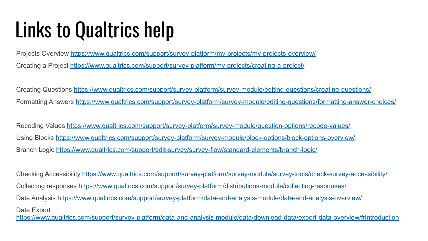#### Links to Qualtrics help

Projects Overview <https://www.qualtrics.com/support/survey-platform/my-projects/my-projects-overview/> Creating a Project <https://www.qualtrics.com/support/survey-platform/my-projects/creating-a-project/>

Creating Questions <https://www.qualtrics.com/support/survey-platform/survey-module/editing-questions/creating-questions/> Formatting Answers <https://www.qualtrics.com/support/survey-platform/survey-module/editing-questions/formatting-answer-choices/>

Recoding Values <https://www.qualtrics.com/support/survey-platform/survey-module/question-options/recode-values/> Using Blocks <https://www.qualtrics.com/support/survey-platform/survey-module/block-options/block-options-overview/> Branch Logic <https://www.qualtrics.com/support/edit-survey/survey-flow/standard-elements/branch-logic/>

Checking Accessibility <https://www.qualtrics.com/support/survey-platform/survey-module/survey-tools/check-survey-accessibility/> Collecting responses<https://www.qualtrics.com/support/survey-platform/distributions-module/collecting-responses/> Data Analysis <https://www.qualtrics.com/support/survey-platform/data-and-analysis-module/data-and-analysis-overview/> Data Export <https://www.qualtrics.com/support/survey-platform/data-and-analysis-module/data/download-data/export-data-overview/#Introduction>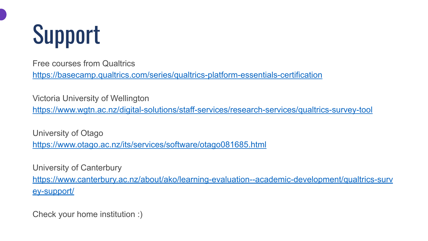

Free courses from Qualtrics

<https://basecamp.qualtrics.com/series/qualtrics-platform-essentials-certification>

Victoria University of Wellington

<https://www.wgtn.ac.nz/digital-solutions/staff-services/research-services/qualtrics-survey-tool>

University of Otago <https://www.otago.ac.nz/its/services/software/otago081685.html>

University of Canterbury [https://www.canterbury.ac.nz/about/ako/learning-evaluation--academic-development/qualtrics-surv](https://www.canterbury.ac.nz/about/ako/learning-evaluation--academic-development/qualtrics-survey-support/) [ey-support/](https://www.canterbury.ac.nz/about/ako/learning-evaluation--academic-development/qualtrics-survey-support/)

Check your home institution :)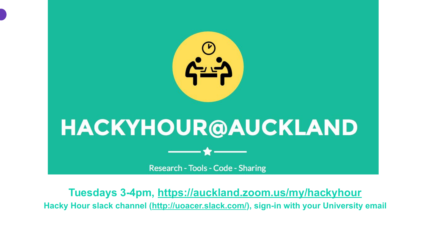

**Tuesdays 3-4pm,<https://auckland.zoom.us/my/hackyhour> Hacky Hour slack channel ([http://uoacer.slack.com/\)](http://uoacer.slack.com/), sign-in with your University email**